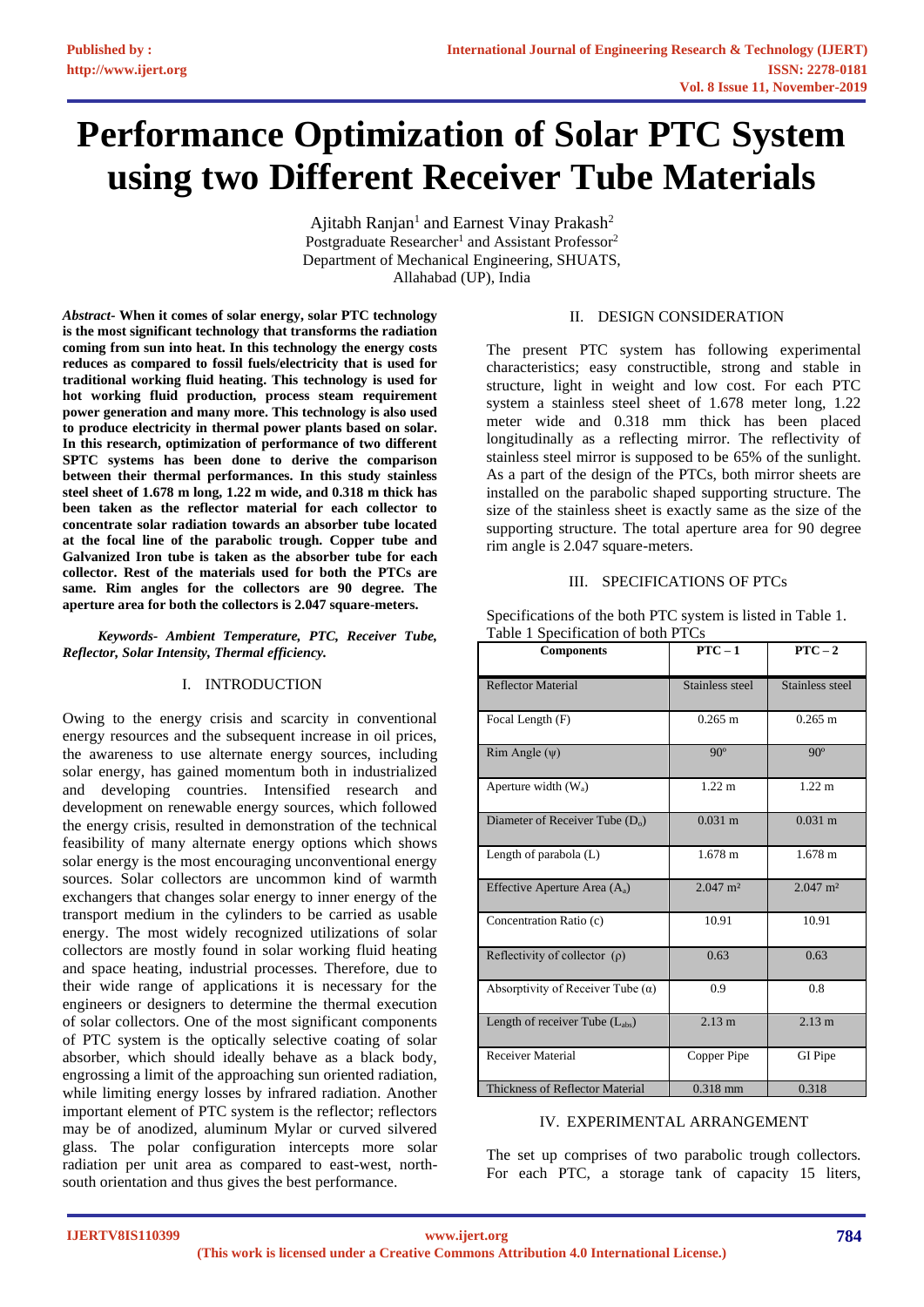# **Performance Optimization of Solar PTC System using two Different Receiver Tube Materials**

Ajitabh Ranjan<sup>1</sup> and Earnest Vinay Prakash<sup>2</sup> Postgraduate Researcher<sup>1</sup> and Assistant Professor<sup>2</sup> Department of Mechanical Engineering, SHUATS, Allahabad (UP), India

*Abstract-* **When it comes of solar energy, solar PTC technology is the most significant technology that transforms the radiation coming from sun into heat. In this technology the energy costs reduces as compared to fossil fuels/electricity that is used for traditional working fluid heating. This technology is used for hot working fluid production, process steam requirement power generation and many more. This technology is also used to produce electricity in thermal power plants based on solar. In this research, optimization of performance of two different SPTC systems has been done to derive the comparison between their thermal performances. In this study stainless steel sheet of 1.678 m long, 1.22 m wide, and 0.318 m thick has been taken as the reflector material for each collector to concentrate solar radiation towards an absorber tube located at the focal line of the parabolic trough. Copper tube and Galvanized Iron tube is taken as the absorber tube for each collector. Rest of the materials used for both the PTCs are same. Rim angles for the collectors are 90 degree. The aperture area for both the collectors is 2.047 square-meters.**

 *Keywords- Ambient Temperature, PTC, Receiver Tube, Reflector, Solar Intensity, Thermal efficiency.*

# I. INTRODUCTION

Owing to the energy crisis and scarcity in conventional energy resources and the subsequent increase in oil prices, the awareness to use alternate energy sources, including solar energy, has gained momentum both in industrialized and developing countries. Intensified research and development on renewable energy sources, which followed the energy crisis, resulted in demonstration of the technical feasibility of many alternate energy options which shows solar energy is the most encouraging unconventional energy sources. Solar collectors are uncommon kind of warmth exchangers that changes solar energy to inner energy of the transport medium in the cylinders to be carried as usable energy. The most widely recognized utilizations of solar collectors are mostly found in solar working fluid heating and space heating, industrial processes. Therefore, due to their wide range of applications it is necessary for the engineers or designers to determine the thermal execution of solar collectors. One of the most significant components of PTC system is the optically selective coating of solar absorber, which should ideally behave as a black body, engrossing a limit of the approaching sun oriented radiation, while limiting energy losses by infrared radiation. Another important element of PTC system is the reflector; reflectors may be of anodized, aluminum Mylar or curved silvered glass. The polar configuration intercepts more solar radiation per unit area as compared to east-west, northsouth orientation and thus gives the best performance.

### II. DESIGN CONSIDERATION

The present PTC system has following experimental characteristics; easy constructible, strong and stable in structure, light in weight and low cost. For each PTC system a stainless steel sheet of 1.678 meter long, 1.22 meter wide and 0.318 mm thick has been placed longitudinally as a reflecting mirror. The reflectivity of stainless steel mirror is supposed to be 65% of the sunlight. As a part of the design of the PTCs, both mirror sheets are installed on the parabolic shaped supporting structure. The size of the stainless sheet is exactly same as the size of the supporting structure. The total aperture area for 90 degree rim angle is 2.047 square-meters.

### III. SPECIFICATIONS OF PTCs

Specifications of the both PTC system is listed in Table 1. Table 1 Specification of both PTCs

| <b>Components</b>                           | $PTC - 1$              | $PTC - 2$              |
|---------------------------------------------|------------------------|------------------------|
| <b>Reflector Material</b>                   | Stainless steel        | Stainless steel        |
| Focal Length (F)                            | $0.265$ m              | $0.265 \; \mathrm{m}$  |
| $Rim$ Angle $(\psi)$                        | $90^\circ$             | $90^\circ$             |
| Aperture width $(W_a)$                      | $1.22 \text{ m}$       | $1.22 \text{ m}$       |
| Diameter of Receiver Tube (D <sub>o</sub> ) | $0.031 \; \text{m}$    | $0.031 \text{ m}$      |
| Length of parabola (L)                      | $1.678 \text{ m}$      | $1.678 \text{ m}$      |
| Effective Aperture Area $(A_a)$             | $2.047$ m <sup>2</sup> | $2.047$ m <sup>2</sup> |
| Concentration Ratio (c)                     | 10.91                  | 10.91                  |
| Reflectivity of collector $(\rho)$          | 0.63                   | 0.63                   |
| Absorptivity of Receiver Tube $(\alpha)$    | 0.9                    | 0.8                    |
| Length of receiver Tube (L <sub>abs</sub> ) | 2.13 m                 | 2.13 m                 |
| <b>Receiver Material</b>                    | Copper Pipe            | GI Pipe                |
| <b>Thickness of Reflector Material</b>      | $0.318$ mm             | 0.318                  |

### IV. EXPERIMENTAL ARRANGEMENT

The set up comprises of two parabolic trough collectors. For each PTC, a storage tank of capacity 15 liters,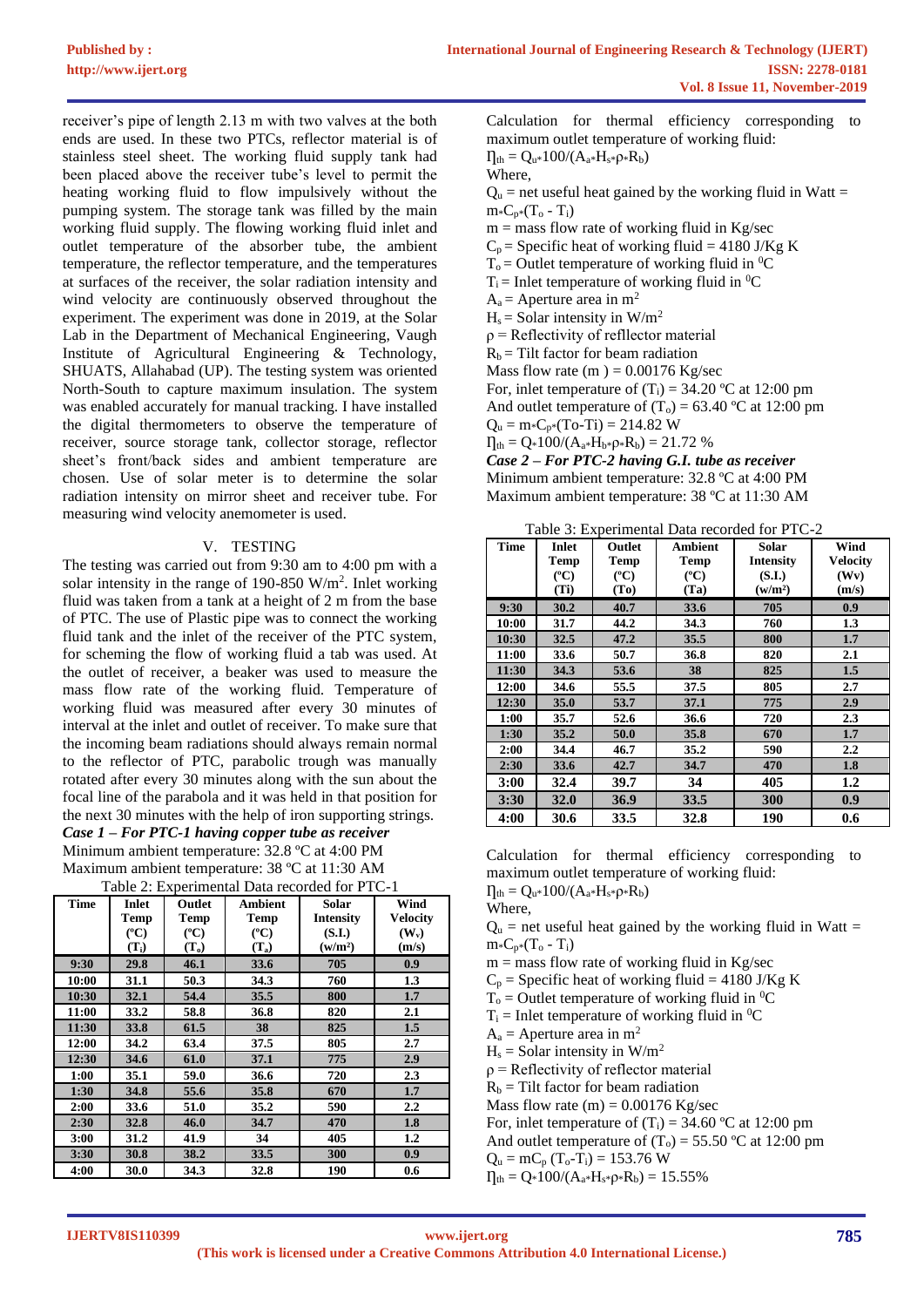receiver's pipe of length 2.13 m with two valves at the both ends are used. In these two PTCs, reflector material is of stainless steel sheet. The working fluid supply tank had been placed above the receiver tube's level to permit the heating working fluid to flow impulsively without the pumping system. The storage tank was filled by the main working fluid supply. The flowing working fluid inlet and outlet temperature of the absorber tube, the ambient temperature, the reflector temperature, and the temperatures at surfaces of the receiver, the solar radiation intensity and wind velocity are continuously observed throughout the experiment. The experiment was done in 2019, at the Solar Lab in the Department of Mechanical Engineering, Vaugh Institute of Agricultural Engineering & Technology, SHUATS, Allahabad (UP). The testing system was oriented North-South to capture maximum insulation. The system was enabled accurately for manual tracking. I have installed the digital thermometers to observe the temperature of receiver, source storage tank, collector storage, reflector sheet's front/back sides and ambient temperature are chosen. Use of solar meter is to determine the solar radiation intensity on mirror sheet and receiver tube. For measuring wind velocity anemometer is used.

# V. TESTING

The testing was carried out from 9:30 am to 4:00 pm with a solar intensity in the range of 190-850  $W/m<sup>2</sup>$ . Inlet working fluid was taken from a tank at a height of 2 m from the base of PTC. The use of Plastic pipe was to connect the working fluid tank and the inlet of the receiver of the PTC system, for scheming the flow of working fluid a tab was used. At the outlet of receiver, a beaker was used to measure the mass flow rate of the working fluid. Temperature of working fluid was measured after every 30 minutes of interval at the inlet and outlet of receiver. To make sure that the incoming beam radiations should always remain normal to the reflector of PTC, parabolic trough was manually rotated after every 30 minutes along with the sun about the focal line of the parabola and it was held in that position for the next 30 minutes with the help of iron supporting strings. *Case 1 – For PTC-1 having copper tube as receiver*

Minimum ambient temperature: 32.8 ºC at 4:00 PM Maximum ambient temperature: 38 ºC at 11:30 AM

| <b>Time</b> | <b>Inlet</b><br>Temp | Outlet<br><b>Temp</b> | <b>Ambient</b><br><b>Temp</b> | Solar<br><b>Intensity</b> | Wind<br><b>Velocity</b> |  |
|-------------|----------------------|-----------------------|-------------------------------|---------------------------|-------------------------|--|
|             | $({}^{\circ}C)$      | $({}^{\circ}C)$       | $(^{\circ}C)$                 | (S.I.)                    | $(W_v)$                 |  |
|             | $(T_i)$              | $(T_o)$               | $(T_a)$                       | (w/m <sup>2</sup> )       | (m/s)                   |  |
| 9:30        | 29.8                 | 46.1                  | 33.6                          | 705                       | 0.9                     |  |
| 10:00       | 31.1                 | 50.3                  | 34.3                          | 760                       | 1.3                     |  |
| 10:30       | 32.1                 | 54.4                  | 35.5                          | 800                       | 1.7                     |  |
| 11:00       | 33.2                 | 58.8                  | 36.8                          | 820                       | 2.1                     |  |
| 11:30       | 33.8                 | 61.5                  | 38                            | 825                       | 1.5                     |  |
| 12:00       | 34.2                 | 63.4                  | 37.5                          | 805                       | 2.7                     |  |
| 12:30       | 34.6                 | 61.0                  | 37.1                          | 775                       | 2.9                     |  |
| 1:00        | 35.1                 | 59.0                  | 36.6                          | 720                       | 2.3                     |  |
| 1:30        | 34.8                 | 55.6                  | 35.8                          | 670                       | 1.7                     |  |
| 2:00        | 33.6                 | 51.0                  | 35.2                          | 590                       | 2.2                     |  |
| 2:30        | 32.8                 | 46.0                  | 34.7                          | 470                       | 1.8                     |  |
| 3:00        | 31.2                 | 41.9                  | 34                            | 405                       | 1.2                     |  |
| 3:30        | 30.8                 | 38.2                  | 33.5                          | 300                       | 0.9                     |  |
| 4:00        | 30.0                 | 34.3                  | 32.8                          | 190                       | 0.6                     |  |

Table 2: Experimental Data recorded for PTC-1

Calculation for thermal efficiency corresponding to maximum outlet temperature of working fluid:  $\Pi_{th} = Q_{u*}100/(A_{a*}H_{s*}\rho_*R_b)$ Where,

 $Q_u$  = net useful heat gained by the working fluid in Watt =  $m*C_{p*}(T_o - T_i)$ 

 $m =$  mass flow rate of working fluid in Kg/sec  $C_p$  = Specific heat of working fluid = 4180 J/Kg K  $T_0$  = Outlet temperature of working fluid in <sup>0</sup>C  $T_i$  = Inlet temperature of working fluid in <sup>0</sup>C  $A_a$  = Aperture area in m<sup>2</sup>

 $H_s =$  Solar intensity in W/m<sup>2</sup>

ρ = Reflectivity of refllector material

 $R_b$  = Tilt factor for beam radiation

Mass flow rate (m  $) = 0.00176$  Kg/sec

For, inlet temperature of  $(T_i) = 34.20$  °C at 12:00 pm And outlet temperature of  $(T_0) = 63.40$  °C at 12:00 pm

 $Q_u = m * C_{p*}(To-Ti) = 214.82 W$ 

 $\Pi_{th} = Q_* 100/(A_{a*}H_{b*}\rho_*R_b) = 21.72$  %

*Case 2 – For PTC-2 having G.I. tube as receiver* Minimum ambient temperature: 32.8 ºC at 4:00 PM Maximum ambient temperature: 38 ºC at 11:30 AM

Table 3: Experimental Data recorded for PTC-2

| <b>Time</b> | Inlet         | Outlet            | <b>Ambient</b> | Solar               | Wind             |
|-------------|---------------|-------------------|----------------|---------------------|------------------|
|             | Temp          | <b>Temp</b>       | <b>Temp</b>    | <b>Intensity</b>    | <b>Velocity</b>  |
|             | $(^{\circ}C)$ | $({}^{\circ}C)$   | $(^{\circ}C)$  | (S.I.)              | (Wv)             |
|             | (Ti)          | (T <sub>0</sub> ) | (Ta)           | (w/m <sup>2</sup> ) | (m/s)            |
| 9:30        | 30.2          | 40.7              | 33.6           | 705                 | 0.9              |
| 10:00       | 31.7          | 44.2              | 34.3           | 760                 | 1.3              |
| 10:30       | 32.5          | 47.2              | 35.5           | 800                 | 1.7              |
| 11:00       | 33.6          | 50.7              | 36.8           | 820                 | 2.1              |
| 11:30       | 34.3          | 53.6              | 38             | 825                 | 1.5              |
| 12:00       | 34.6          | 55.5              | 37.5           | 805                 | 2.7              |
| 12:30       | 35.0          | 53.7              | 37.1           | 775                 | 2.9              |
| 1:00        | 35.7          | 52.6              | 36.6           | 720                 | 2.3              |
| 1:30        | 35.2          | 50.0              | 35.8           | 670                 | 1.7              |
| 2:00        | 34.4          | 46.7              | 35.2           | 590                 | $2.2\phantom{0}$ |
| 2:30        | 33.6          | 42.7              | 34.7           | 470                 | 1.8              |
| 3:00        | 32.4          | 39.7              | 34             | 405                 | 1.2              |
| 3:30        | 32.0          | 36.9              | 33.5           | 300                 | 0.9              |
| 4:00        | 30.6          | 33.5              | 32.8           | 190                 | 0.6              |

Calculation for thermal efficiency corresponding to maximum outlet temperature of working fluid:

 $\Pi_{th} = Q_u * 100 / (A_a * H_s * \rho * R_b)$ 

Where,  $Q_u$  = net useful heat gained by the working fluid in Watt =  $m\cdot C_0 \cdot (T_0 - T_i)$ 

 $m =$  mass flow rate of working fluid in Kg/sec

 $C_p$  = Specific heat of working fluid = 4180 J/Kg K

 $T_0$  = Outlet temperature of working fluid in <sup>0</sup>C

 $T_i$  = Inlet temperature of working fluid in <sup>0</sup>C

 $A_a$  = Aperture area in m<sup>2</sup>

 $H_s =$  Solar intensity in W/m<sup>2</sup>

 $\rho$  = Reflectivity of reflector material

 $R_b$  = Tilt factor for beam radiation

Mass flow rate  $(m) = 0.00176$  Kg/sec

For, inlet temperature of  $(T_i) = 34.60$  °C at 12:00 pm

And outlet temperature of  $(T_0) = 55.50$  °C at 12:00 pm

 $Q_u = mC_p (T_o - T_i) = 153.76 W$ 

 $I_{th} = Q*100/(A_{a}*H_{s}*p*R_{b}) = 15.55\%$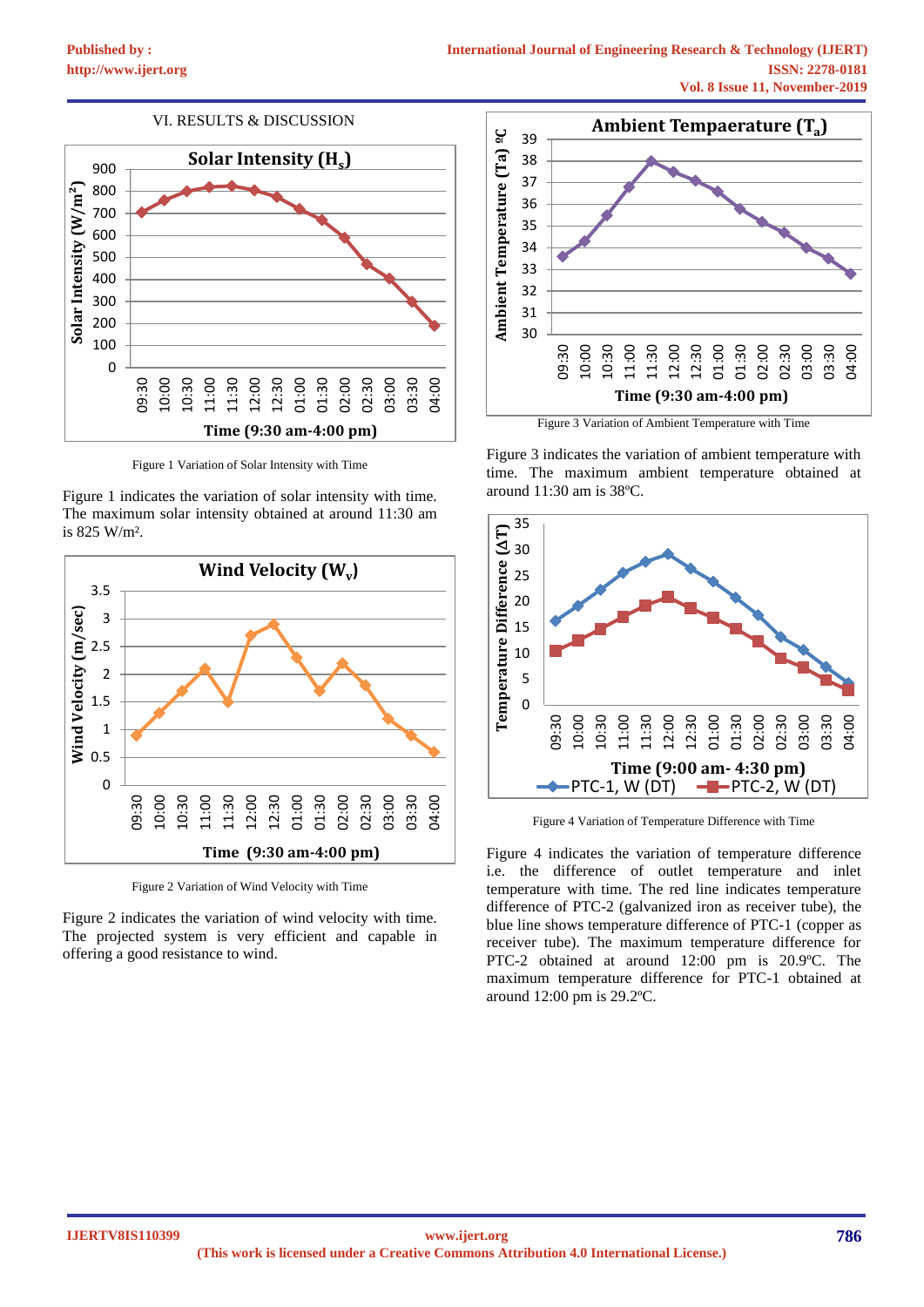# VI. RESULTS & DISCUSSION



Figure 1 Variation of Solar Intensity with Time

Figure 1 indicates the variation of solar intensity with time. The maximum solar intensity obtained at around 11:30 am is 825 W/m².



Figure 2 Variation of Wind Velocity with Time

Figure 2 indicates the variation of wind velocity with time. The projected system is very efficient and capable in offering a good resistance to wind.



Figure 3 Variation of Ambient Temperature with Time

Figure 3 indicates the variation of ambient temperature with time. The maximum ambient temperature obtained at around 11:30 am is 38ºC.



Figure 4 Variation of Temperature Difference with Time

Figure 4 indicates the variation of temperature difference i.e. the difference of outlet temperature and inlet temperature with time. The red line indicates temperature difference of PTC-2 (galvanized iron as receiver tube), the blue line shows temperature difference of PTC-1 (copper as receiver tube). The maximum temperature difference for PTC-2 obtained at around 12:00 pm is 20.9ºC. The maximum temperature difference for PTC-1 obtained at around 12:00 pm is 29.2ºC.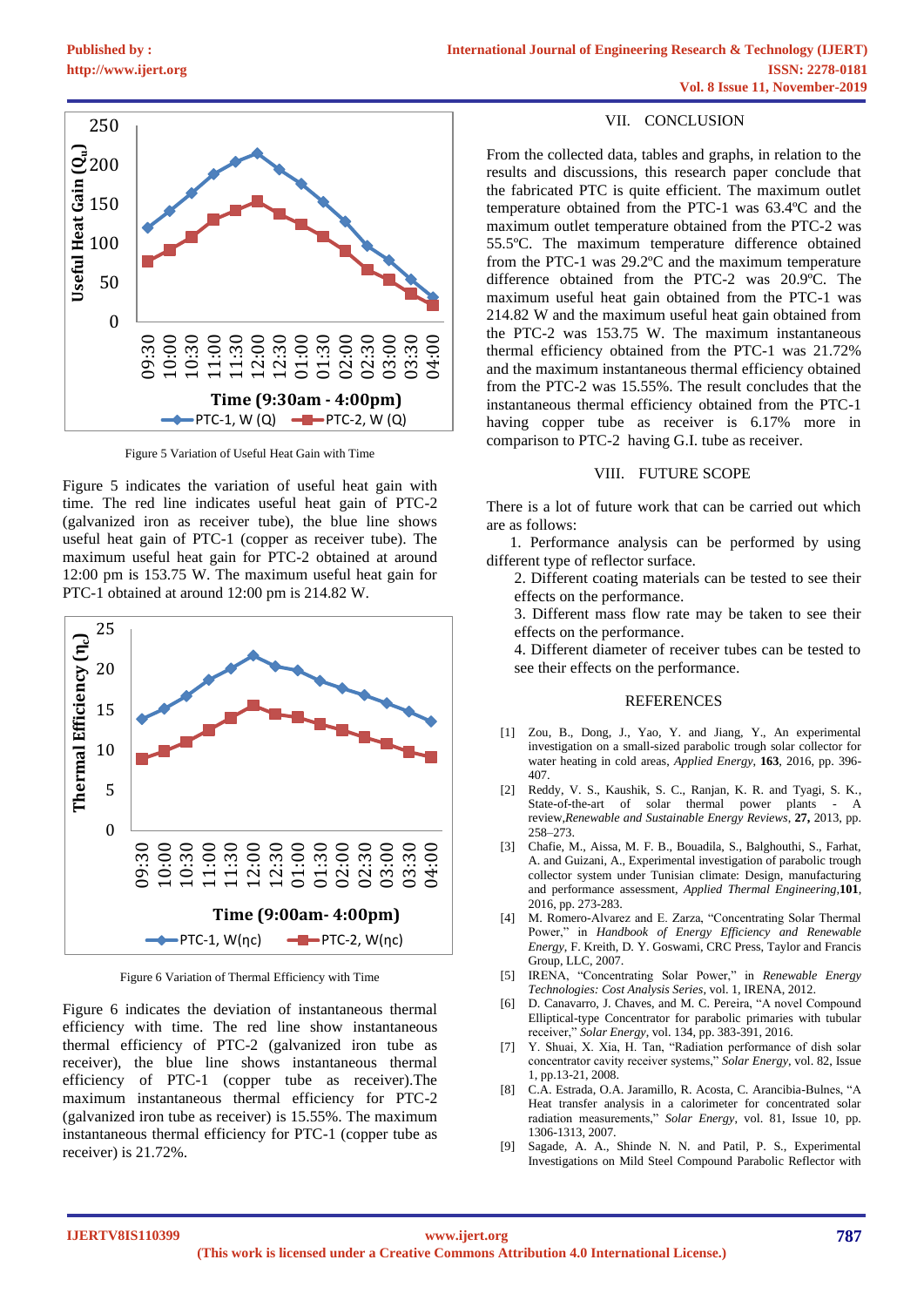



Figure 5 Variation of Useful Heat Gain with Time

Figure 5 indicates the variation of useful heat gain with time. The red line indicates useful heat gain of PTC-2 (galvanized iron as receiver tube), the blue line shows useful heat gain of PTC-1 (copper as receiver tube). The maximum useful heat gain for PTC-2 obtained at around 12:00 pm is 153.75 W. The maximum useful heat gain for PTC-1 obtained at around 12:00 pm is 214.82 W.



Figure 6 Variation of Thermal Efficiency with Time

Figure 6 indicates the deviation of instantaneous thermal efficiency with time. The red line show instantaneous thermal efficiency of PTC-2 (galvanized iron tube as receiver), the blue line shows instantaneous thermal efficiency of PTC-1 (copper tube as receiver).The maximum instantaneous thermal efficiency for PTC-2 (galvanized iron tube as receiver) is 15.55%. The maximum instantaneous thermal efficiency for PTC-1 (copper tube as receiver) is 21.72%.

### VII. CONCLUSION

From the collected data, tables and graphs, in relation to the results and discussions, this research paper conclude that the fabricated PTC is quite efficient. The maximum outlet temperature obtained from the PTC-1 was 63.4ºC and the maximum outlet temperature obtained from the PTC-2 was 55.5ºC. The maximum temperature difference obtained from the PTC-1 was 29.2ºC and the maximum temperature difference obtained from the PTC-2 was 20.9ºC. The maximum useful heat gain obtained from the PTC-1 was 214.82 W and the maximum useful heat gain obtained from the PTC-2 was 153.75 W. The maximum instantaneous thermal efficiency obtained from the PTC-1 was 21.72% and the maximum instantaneous thermal efficiency obtained from the PTC-2 was 15.55%. The result concludes that the instantaneous thermal efficiency obtained from the PTC-1 having copper tube as receiver is 6.17% more in comparison to PTC-2 having G.I. tube as receiver.

### VIII. FUTURE SCOPE

There is a lot of future work that can be carried out which are as follows:

 1. Performance analysis can be performed by using different type of reflector surface.

2. Different coating materials can be tested to see their effects on the performance.

3. Different mass flow rate may be taken to see their effects on the performance.

4. Different diameter of receiver tubes can be tested to see their effects on the performance.

#### REFERENCES

- [1] Zou, B., Dong, J., Yao, Y. and Jiang, Y., An experimental investigation on a small-sized parabolic trough solar collector for water heating in cold areas, *Applied Energy*, **163**, 2016, pp. 396- 407.
- [2] Reddy, V. S., Kaushik, S. C., Ranjan, K. R. and Tyagi, S. K., State-of-the-art of solar thermal power plants - A review,*Renewable and Sustainable Energy Reviews*, **27,** 2013, pp. 258–273.
- [3] Chafie, M., Aissa, M. F. B., Bouadila, S., Balghouthi, S., Farhat, A. and Guizani, A., Experimental investigation of parabolic trough collector system under Tunisian climate: Design, manufacturing and performance assessment, *Applied Thermal Engineering,***101**, 2016, pp. 273-283.
- M. Romero-Alvarez and E. Zarza, "Concentrating Solar Thermal Power," in *Handbook of Energy Efficiency and Renewable Energy*, F. Kreith, D. Y. Goswami, CRC Press, Taylor and Francis Group, LLC, 2007.
- [5] IRENA, "Concentrating Solar Power," in *Renewable Energy Technologies: Cost Analysis Series*, vol. 1, IRENA, 2012.
- [6] D. Canavarro, J. Chaves, and M. C. Pereira, "A novel Compound Elliptical-type Concentrator for parabolic primaries with tubular receiver," *Solar Energy*, vol. 134, pp. 383-391, 2016.
- [7] Y. Shuai, X. Xia, H. Tan, "Radiation performance of dish solar concentrator cavity receiver systems," *Solar Energy*, vol. 82, Issue 1, pp.13-21, 2008.
- [8] C.A. Estrada, O.A. Jaramillo, R. Acosta, C. Arancibia-Bulnes, "A Heat transfer analysis in a calorimeter for concentrated solar radiation measurements," *Solar Energy*, vol. 81, Issue 10, pp. 1306-1313, 2007.
- [9] Sagade, A. A., Shinde N. N. and Patil, P. S., Experimental Investigations on Mild Steel Compound Parabolic Reflector with